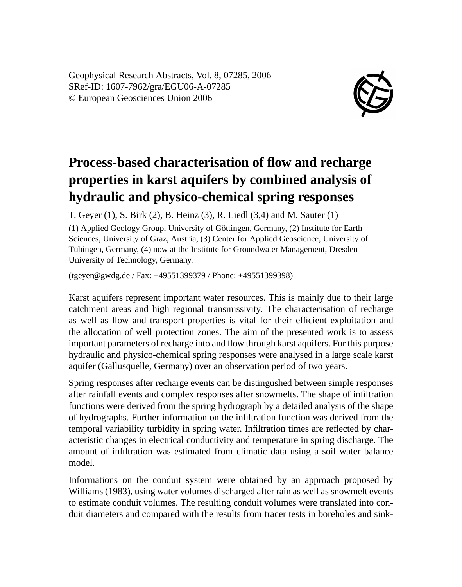Geophysical Research Abstracts, Vol. 8, 07285, 2006 SRef-ID: 1607-7962/gra/EGU06-A-07285 © European Geosciences Union 2006



## **Process-based characterisation of flow and recharge properties in karst aquifers by combined analysis of hydraulic and physico-chemical spring responses**

T. Geyer (1), S. Birk (2), B. Heinz (3), R. Liedl (3,4) and M. Sauter (1)

(1) Applied Geology Group, University of Göttingen, Germany, (2) Institute for Earth Sciences, University of Graz, Austria, (3) Center for Applied Geoscience, University of Tübingen, Germany, (4) now at the Institute for Groundwater Management, Dresden University of Technology, Germany.

(tgeyer@gwdg.de / Fax: +49551399379 / Phone: +49551399398)

Karst aquifers represent important water resources. This is mainly due to their large catchment areas and high regional transmissivity. The characterisation of recharge as well as flow and transport properties is vital for their efficient exploitation and the allocation of well protection zones. The aim of the presented work is to assess important parameters of recharge into and flow through karst aquifers. For this purpose hydraulic and physico-chemical spring responses were analysed in a large scale karst aquifer (Gallusquelle, Germany) over an observation period of two years.

Spring responses after recharge events can be distingushed between simple responses after rainfall events and complex responses after snowmelts. The shape of infiltration functions were derived from the spring hydrograph by a detailed analysis of the shape of hydrographs. Further information on the infiltration function was derived from the temporal variability turbidity in spring water. Infiltration times are reflected by characteristic changes in electrical conductivity and temperature in spring discharge. The amount of infiltration was estimated from climatic data using a soil water balance model.

Informations on the conduit system were obtained by an approach proposed by Williams (1983), using water volumes discharged after rain as well as snowmelt events to estimate conduit volumes. The resulting conduit volumes were translated into conduit diameters and compared with the results from tracer tests in boreholes and sink